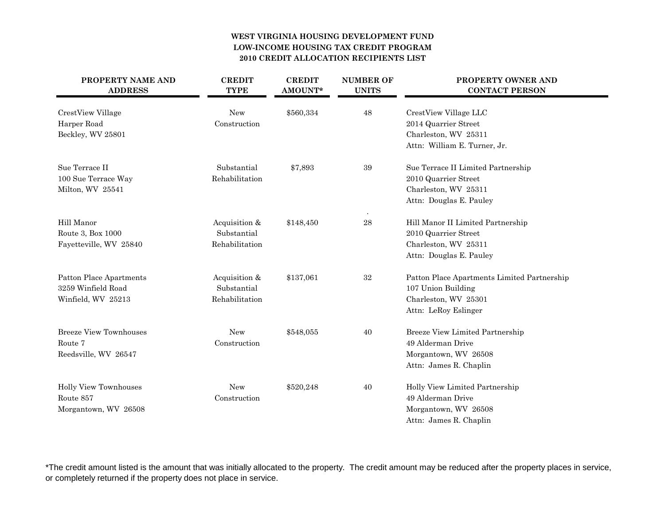## **WEST VIRGINIA HOUSING DEVELOPMENT FUNDLOW-INCOME HOUSING TAX CREDIT PROGRAM2010 CREDIT ALLOCATION RECIPIENTS LIST**

| PROPERTY NAME AND<br><b>ADDRESS</b> | <b>CREDIT</b><br><b>TYPE</b> | <b>CREDIT</b><br>AMOUNT* | <b>NUMBER OF</b><br><b>UNITS</b> | PROPERTY OWNER AND<br><b>CONTACT PERSON</b>   |
|-------------------------------------|------------------------------|--------------------------|----------------------------------|-----------------------------------------------|
| CrestView Village<br>Harper Road    | New<br>Construction          | \$560,334                | 48                               | CrestView Village LLC<br>2014 Quarrier Street |
| Beckley, WV 25801                   |                              |                          |                                  | Charleston, WV 25311                          |
|                                     |                              |                          |                                  | Attn: William E. Turner, Jr.                  |
| Sue Terrace II                      | Substantial                  | \$7,893                  | 39                               | Sue Terrace II Limited Partnership            |
| 100 Sue Terrace Way                 | Rehabilitation               |                          |                                  | 2010 Quarrier Street                          |
| Milton, WV 25541                    |                              |                          |                                  | Charleston, WV 25311                          |
|                                     |                              |                          |                                  | Attn: Douglas E. Pauley                       |
| Hill Manor                          | Acquisition &                | \$148,450                | 28                               | Hill Manor II Limited Partnership             |
| Route 3, Box 1000                   | Substantial                  |                          |                                  | 2010 Quarrier Street                          |
| Fayetteville, WV 25840              | Rehabilitation               |                          |                                  | Charleston, WV 25311                          |
|                                     |                              |                          |                                  | Attn: Douglas E. Pauley                       |
| Patton Place Apartments             | Acquisition &                | \$137,061                | 32                               | Patton Place Apartments Limited Partnership   |
| 3259 Winfield Road                  | Substantial                  |                          |                                  | 107 Union Building                            |
| Winfield, WV 25213                  | Rehabilitation               |                          |                                  | Charleston, WV 25301                          |
|                                     |                              |                          |                                  | Attn: LeRoy Eslinger                          |
| Breeze View Townhouses              | <b>New</b>                   | \$548,055                | 40                               | Breeze View Limited Partnership               |
| Route 7                             | Construction                 |                          |                                  | 49 Alderman Drive                             |
| Reedsville, WV 26547                |                              |                          |                                  | Morgantown, WV 26508                          |
|                                     |                              |                          |                                  | Attn: James R. Chaplin                        |
| <b>Holly View Townhouses</b>        | New                          | \$520,248                | 40                               | Holly View Limited Partnership                |
| Route 857                           | Construction                 |                          |                                  | 49 Alderman Drive                             |
| Morgantown, WV 26508                |                              |                          |                                  | Morgantown, WV 26508                          |
|                                     |                              |                          |                                  | Attn: James R. Chaplin                        |

\*The credit amount listed is the amount that was initially allocated to the property. The credit amount may be reduced after the property places in service, or completely returned if the property does not place in service.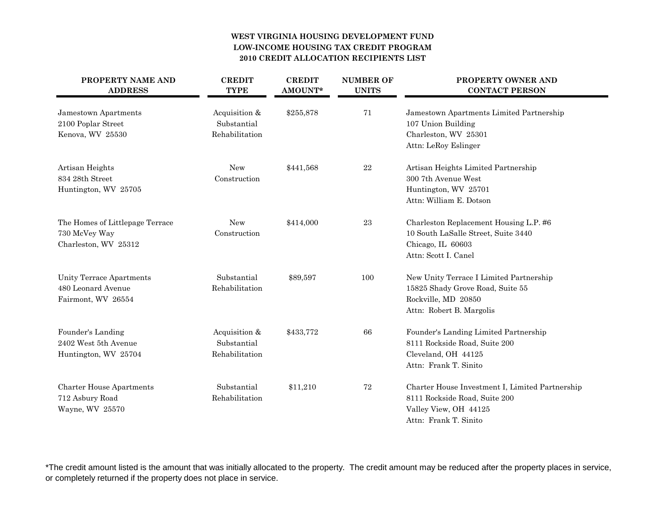## **WEST VIRGINIA HOUSING DEVELOPMENT FUNDLOW-INCOME HOUSING TAX CREDIT PROGRAM2010 CREDIT ALLOCATION RECIPIENTS LIST**

| PROPERTY NAME AND<br><b>ADDRESS</b> | <b>CREDIT</b><br><b>TYPE</b> | <b>CREDIT</b><br>AMOUNT* | <b>NUMBER OF</b><br><b>UNITS</b> | <b>PROPERTY OWNER AND</b><br><b>CONTACT PERSON</b> |
|-------------------------------------|------------------------------|--------------------------|----------------------------------|----------------------------------------------------|
| Jamestown Apartments                | Acquisition &                | \$255,878                | 71                               | Jamestown Apartments Limited Partnership           |
| 2100 Poplar Street                  | Substantial                  |                          |                                  | 107 Union Building                                 |
| Kenova, WV 25530                    | Rehabilitation               |                          |                                  | Charleston, WV 25301                               |
|                                     |                              |                          |                                  | Attn: LeRoy Eslinger                               |
| Artisan Heights                     | New                          | \$441,568                | $\bf 22$                         | Artisan Heights Limited Partnership                |
| 834 28th Street                     | Construction                 |                          |                                  | 300 7th Avenue West                                |
| Huntington, WV 25705                |                              |                          |                                  | Huntington, WV 25701                               |
|                                     |                              |                          |                                  | Attn: William E. Dotson                            |
| The Homes of Littlepage Terrace     | New                          | \$414,000                | $\bf 23$                         | Charleston Replacement Housing L.P. #6             |
| 730 McVey Way                       | Construction                 |                          |                                  | 10 South LaSalle Street, Suite 3440                |
| Charleston, WV 25312                |                              |                          |                                  | Chicago, IL 60603                                  |
|                                     |                              |                          |                                  | Attn: Scott I. Canel                               |
| Unity Terrace Apartments            | Substantial                  | \$89,597                 | 100                              | New Unity Terrace I Limited Partnership            |
| 480 Leonard Avenue                  | Rehabilitation               |                          |                                  | 15825 Shady Grove Road, Suite 55                   |
| Fairmont, WV 26554                  |                              |                          |                                  | Rockville, MD 20850                                |
|                                     |                              |                          |                                  | Attn: Robert B. Margolis                           |
| Founder's Landing                   | Acquisition &                | \$433,772                | 66                               | Founder's Landing Limited Partnership              |
| 2402 West 5th Avenue                | Substantial                  |                          |                                  | 8111 Rockside Road, Suite 200                      |
| Huntington, WV 25704                | Rehabilitation               |                          |                                  | Cleveland, OH 44125                                |
|                                     |                              |                          |                                  | Attn: Frank T. Sinito                              |
| <b>Charter House Apartments</b>     | Substantial                  | \$11,210                 | $72\,$                           | Charter House Investment I, Limited Partnership    |
| 712 Asbury Road                     | Rehabilitation               |                          |                                  | 8111 Rockside Road, Suite 200                      |
| Wayne, WV 25570                     |                              |                          |                                  | Valley View, OH 44125                              |
|                                     |                              |                          |                                  | Attn: Frank T. Sinito                              |

\*The credit amount listed is the amount that was initially allocated to the property. The credit amount may be reduced after the property places in service, or completely returned if the property does not place in service.